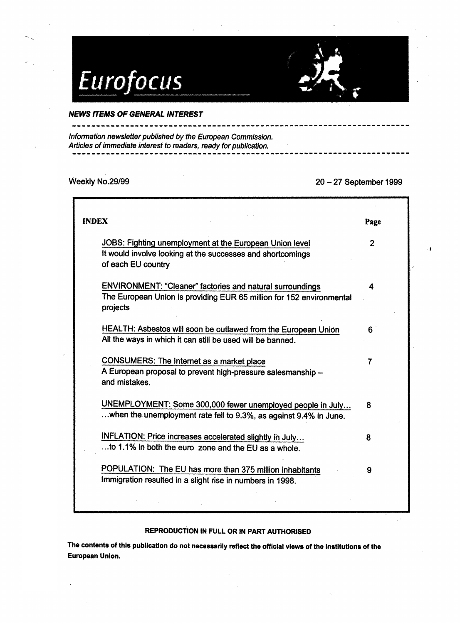

## NEWS ITEMS OF GENERAL INTEREST

---------------

Information newsletter published by the European Commission. Articles of immediate interest to readers, ready for publication.

Weekly No.29/99 20 - 27 September 1999

 $\mathbf{I}$ 

| <b>INDEX</b>                                                                                                                                         | Page           |
|------------------------------------------------------------------------------------------------------------------------------------------------------|----------------|
| JOBS: Fighting unemployment at the European Union level<br>It would involve looking at the successes and shortcomings<br>of each EU country          | $\overline{2}$ |
| <b>ENVIRONMENT: "Cleaner" factories and natural surroundings</b><br>The European Union is providing EUR 65 million for 152 environmental<br>projects | 4              |
| HEALTH: Asbestos will soon be outlawed from the European Union<br>All the ways in which it can still be used will be banned.                         | 6              |
| <b>CONSUMERS: The Internet as a market place</b><br>A European proposal to prevent high-pressure salesmanship -<br>and mistakes.                     | $\overline{7}$ |
| UNEMPLOYMENT: Some 300,000 fewer unemployed people in July<br>when the unemployment rate fell to 9.3%, as against 9.4% in June.                      | 8              |
| INFLATION: Price increases accelerated slightly in July<br>to 1.1% in both the euro zone and the EU as a whole.                                      | 8              |
| POPULATION: The EU has more than 375 million inhabitants<br>Immigration resulted in a slight rise in numbers in 1998.                                | 9              |
|                                                                                                                                                      |                |

## REPRODUCTION IN FULL OR IN PART AUTHORISED

The contents of this publication do not necessarily reflect the official views of the Institutions of the European Union.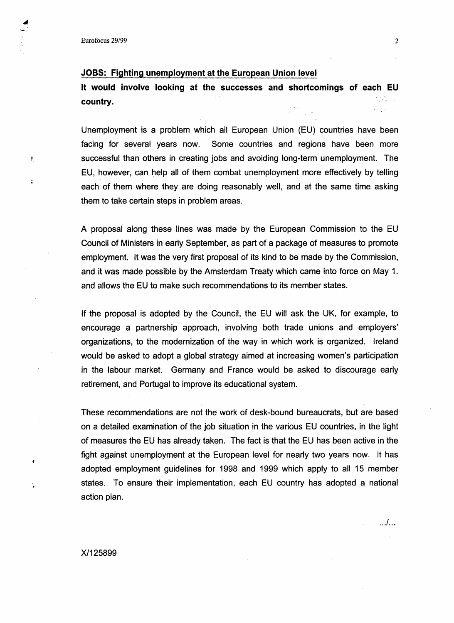ŧ,

 $\tilde{\phantom{a}}$ 

## JOBS: Fighting unemployment at the European Union level

It would involve looking at the successes and shortcomings of each EU country.

Unemployment is a problem which all European Union (EU) countries have been facing for several years now. Some countries and regions have been more successful than others in creating jobs and avoiding long-term unemployment. The EU, however, can help all of them combat unemployment more effectively by telling each of them where they are doing reasonably well, and at the same time asking them to take certain steps in problem areas.

A proposal along these lines was made by the European Commission to the EU Council of Ministers in early September, as part of a package of measures to promote employment. It was the very first proposal of its kind to be made by the Commission, and it was made possible by the Amsterdam Treaty which came into force on May 1. and allows the EU to make such recommendations to its member states.

If the proposal is adopted by the Council, the EU will ask the UK, for example, to encourage a partnership approach, involving both trade unions and employers' organizations, to the modernization of the way in which work is organized. Ireland would be asked to adopt a global strategy aimed at increasing women's participation in the labour market. Germany and France would be asked to discourage early retirement, and Portugal to improve its educational system.

These recommendations are not the work of desk-bound bureaucrats, but are based on a detailed examination of the job situation in the various EU countries, in the light of measures the EU has already taken. The fact is that the EU has been active in the fight against unemployment at the European level for nearly two years now. It has adopted employment guidelines for 1998 and 1999 which apply to all 15 member states. To ensure their implementation, each EU country has adopted a national action plan.

. .. / ...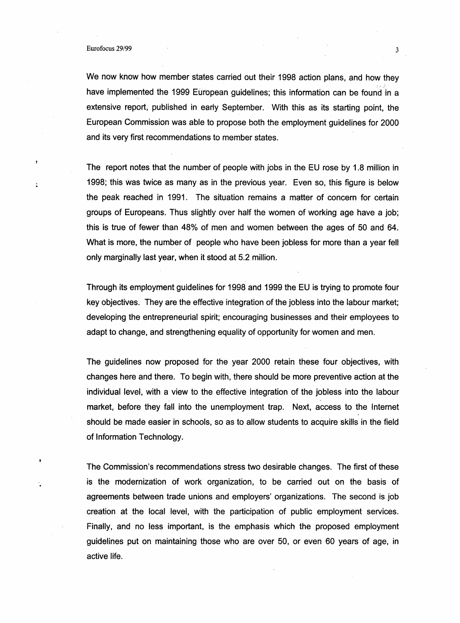. t

We now know how member states carried out their 1998 action plans, and how they have implemented the 1999 European guidelines; this information can be found in a extensive report, published in early September. With this as its starting point, the European Commission was able to propose both the employment guidelines for 2000 and its very first recommendations to member states.

The report notes that the number of people with jobs in the EU rose by 1.8 million in 1998; this was twice as many as in the previous year. Even so, this figure is below the peak reached in 1991. The situation remains a matter of concern for certain groups of Europeans. Thus slightly over half the women of working age have a job; this is true of fewer than 48% of men and women between the ages of 50 and 64. What is more, the number of people who have been jobless for more than a year fell only marginally last year, when it stood at 5.2 million.

Through its employment guidelines for 1998 and 1999 the EU is trying to promote four key objectives. They are the effective integration of the jobless into the labour market; developing the entrepreneurial spirit; encouraging businesses and their employees to adapt to change, and strengthening equality of opportunity for women and men.

The guidelines now proposed for the year 2000 retain these four objectives, with changes here and there. To begin with, there should be more preventive action at the individual level, with a view to the effective integration of the jobless into the labour market, before they fall into the unemployment trap. Next, access to the Internet should be made easier in schools, so as to allow students to acquire skills in the field of Information Technology .

The Commission's recommendations stress two desirable changes. The first of these is the modernization of work organization, to be carried out on the basis of agreements between trade unions and employers' organizations. The second is job creation at the local level, with the participation of public employment services. Finally, and no less important, is the emphasis which the proposed employment guidelines put on maintaining those who are over 50, or even 60 years of age, in active life.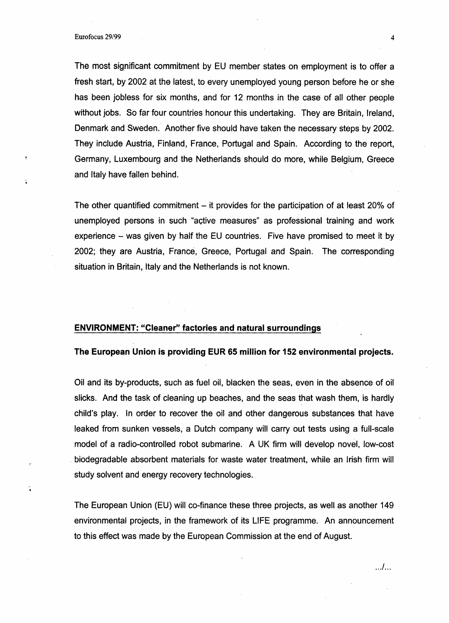Eurofocus 29/99 4

The most significant commitment by EU member states on employment is to offer a fresh start, by 2002 at the latest, to every unemployed young person before he or she has been jobless for six months, and for 12 months in the case of all other people without jobs. So far four countries honour this undertaking. They are Britain, Ireland, Denmark and Sweden. Another five should have taken the necessary steps by 2002. They include Austria, Finland, France, Portugal and Spain. According to the report, Germany, Luxembourg and the Netherlands should do more, while Belgium, Greece and Italy have fallen behind.

The other quantified commitment  $-$  it provides for the participation of at least 20% of unemployed persons in such "active measures" as professional training and work experience - was given by half the EU countries. Five have promised to meet it by 2002; they are Austria, France, Greece, Portugal and Spain. The corresponding situation in Britain, Italy and the Netherlands is not known.

## **ENVIRONMENT: "Cleaner" factories and natural surroundings**

#### **The European Union is providing EUR 65 million for 152 environmental projects.**

Oil and its by-products, such as fuel oil, blacken the seas, even in the absence of oil slicks. And the task of cleaning up beaches, and the seas that wash them, is hardly child's play. In order to recover the oil and other dangerous substances that have leaked from sunken vessels, a Dutch company will carry out tests using a full-scale model of a radio-controlled robot submarine. A UK firm will develop novel, low-cost . biodegradable absorbent materials for waste water treatment, while an Irish firm will study solvent and energy recovery technologies.

The European Union (EU) will co-finance these three projects, as well as another 149 environmental projects, in the framework of its LIFE programme. An announcement to this effect was made by the European Commission at the end of August.

... / ...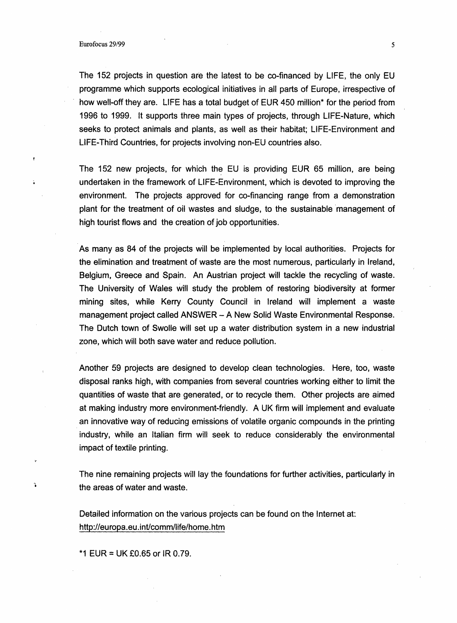The 152 projects in question are the latest to be co-financed by LIFE, the only EU programme which supports ecological initiatives in all parts of Europe, irrespective of how well-off they are. LIFE has a total budget of EUR 450 million\* for the period from 1996 to 1999. It supports three main types of projects, through LIFE-Nature, which seeks to protect animals and plants, as well as their habitat; LIFE-Environment and LIFE-Third Countries, for projects involving non-EU countries also.

The 152 new projects, for which the EU is providing EUR 65 million, are being undertaken in the framework of LIFE-Environment, which is devoted to improving the environment. The projects approved for co-financing range from a demonstration plant for the treatment of oil wastes and sludge, to the sustainable 'management of high tourist flows and the creation of job opportunities.

As many as 84 of the projects will be implemented by local authorities. Projects for the elimination and treatment of waste are the most numerous, particularly in Ireland, Belgium, Greece and Spain. An Austrian project will tackle the recycling of waste. The University of Wales will study the problem of restoring biodiversity at former mining sites, while Kerry County Council in Ireland will implement a waste management project called ANSWER - A New Solid Waste Environmental Response. The Dutch town of Swolle will set up a water distribution system in a new industrial zone, which will both save water and reduce pollution.

Another 59 projects are designed to develop clean technologies. Here, too, waste disposal ranks high, with companies from several countries working either to limit the quantities of waste that are generated, or to recycle them. Other projects are aimed at making industry more environment-friendly. A UK firm will implement and evaluate an innovative way of reducing emissions of volatile organic compounds in the printing industry, while an Italian firm will seek to reduce considerably the environmental impact of textile printing.

The nine remaining projects will lay the foundations for further activities, particularly in the areas of water and waste.

Detailed information on the various projects can be found on the Internet at: http://europa.eu.int/comm/life/home.htm

\*1 EUR = UK £0.65 or IR 0.79.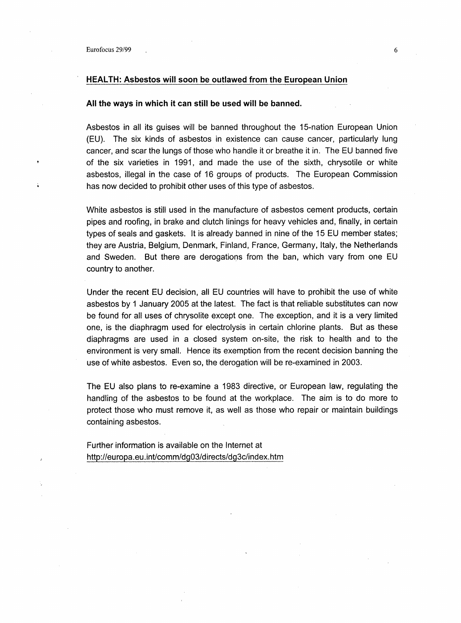### **HEALTH: Asbestos will soon be outlawed from the European Union**

#### **All the ways in which it can still be used will be banned.**

Asbestos in all its guises will be banned throughout the 15-nation European Union (EU). The six kinds of asbestos in existence can cause cancer, particularly lung cancer, and scar the lungs of those who handle it or breathe it in. The EU banned five of the six varieties in 1991, and made the use of the sixth, chrysotile or white asbestos, illegal in the case of 16 groups of products. The European Commission has now decided to prohibit other uses of this type of asbestos.

White asbestos is still used in the manufacture of asbestos cement products, certain pipes and roofing, in brake and clutch linings for heavy vehicles and, finally, in certain types of seals and gaskets. It is already banned in nine of the 15 EU member states; they are Austria, Belgium, Denmark, Finland, France, Germany, Italy, the Netherlands and Sweden. But there are derogatioos from the ban, which vary from one EU country to another.

Under the recent EU decision, all EU countries will have to prohibit the use of white asbestos by 1 January 2005 at the latest. The fact is that reliable substitutes can now be found for all uses of chrysolite except one. The exception, and it is a very limited one, is the diaphragm used for electrolysis in certain chlorine plants. But as these diaphragms are used in a closed system on-site, the risk to health and to the environment is very small. Hence its exemption from the recent decision banning the use of white asbestos. Even so, the derogation will be re-examined in 2003.

The EU also plans to re-examine a 1983 directive, or European law, regulating the handling of the asbestos to be found at the workplace. The aim is to do more to protect those who must remove it, as well as those who repair or maintain buildings containing asbestos.

Further information is available on the Internet at http://europa.eu.int/comm/dg03/directs/dg3c/index.htm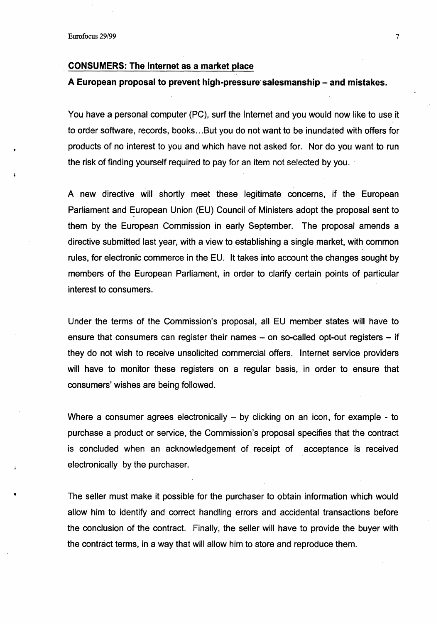•

#### **CONSUMERS: The Internet as a market place**

## A European proposal to prevent high-pressure' salesmanship- and mistakes.

You have a personal computer (PC), surf the Internet and you would now like to use it to order software, records, books ... But you do not want to be inundated with offers for products of no interest to you and which have not asked for. Nor do you want to run the risk of finding yourself required to pay for an item not selected by you.

A new directive will shortly meet these legitimate concerns, if the European Parliament and European Union (EU) Council of Ministers adopt the proposal sent to them by the European Commission in early September. The proposal amends a directive submitted last year, with a view to establishing a single market, with common rules, for electronic commerce in the EU. It takes into account the changes sought by members of the European Parliament, in order to clarify certain points of particular interest to consumers.

Under the terms of the Commission's proposal, all EU member states will have to ensure that consumers can register their names  $-$  on so-called opt-out registers  $-$  if they do not wish to receive unsolicited commercial offers. Internet service providers will have to monitor these registers on a regular basis, in order to ensure that consumers' wishes are being followed.

Where a consumer agrees electronically  $-$  by clicking on an icon, for example - to purchase a product or service, the Commission's proposal specifies that the contract is concluded when an acknowledgement of receipt of acceptance is received electronically by the purchaser.

The seller must make it possible for the purchaser to obtain information which would allow him to identify and correct handling errors and accidental transactions before the conclusion of the contract. Finally, the seller will have to provide the buyer with the contract terms, in a way that will allow him to store and reproduce them.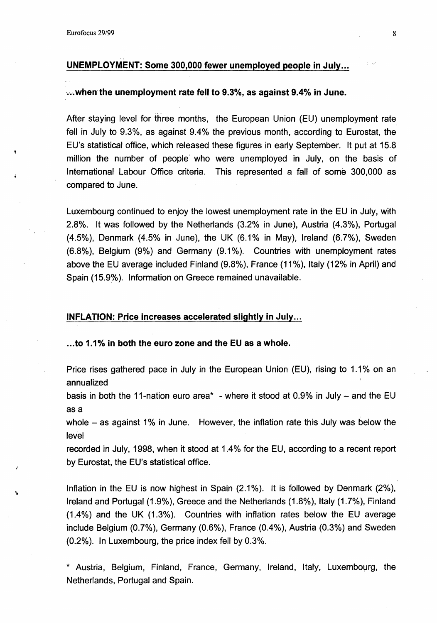# UNEMPLOYMENT: Some 300,000 fewer unemployed people in July ...

### ...when the unemployment rate fell to 9.3%, as against 9.4% in June.

After staying level for 'three months, the European Union (EU) unemployment rate fell in July to 9.3%, as against 9.4% the previous month, according to Eurostat, the EU's statistical office, which released these figures in early September. It put at 15.8 million the number of people' who were unemployed in July, on the basis of International Labour Office criteria. This represented a fall of some 300,000 as compared to June.

Luxembourg continued to enjoy the lowest unemployment rate in the EU in July, with 2.8%. It was followed by the Netherlands (3.2% in June), Austria (4.3%), Portugal (4.5%), Denmark  $(4.5\%$  in June), the UK  $(6.1\%$  in May), Ireland  $(6.7\%)$ , Sweden  $(6.8\%)$ , Belgium  $(9\%)$  and Germany  $(9.1\%)$ . Countries with unemployment rates above the EU average included Finland (9.8%), France (11%), Italy (12% in April) and Spain (15.9%). Information on Greece remained unavailable.

### INFLATION: Price increases accelerated slightly in July ...

# . .. to 1.1% in both the euro zone and the EU as a whole.

Price rises gathered pace in July in the European Union (EU), rising to 1.1% on an annualized

basis in both the 11-nation euro area\* - where it stood at 0.9% in July  $-$  and the EU as a

whole  $-$  as against 1% in June. However, the inflation rate this July was below the level

recorded in July, 1998, when it stood at 1.4% for the EU, according to a recent report by Eurostat, the EU's statistical office.

Inflation in the EU is now highest in Spain  $(2.1\%)$ . It is followed by Denmark  $(2\%)$ , Ireland and Portugal (1.9%), Greece and the Netherlands (1.8%), Italy (1.7%), Finland  $(1.4\%)$  and the UK  $(1.3\%)$ . Countries with inflation rates below the EU average include Belgium  $(0.7\%)$ , Germany  $(0.6\%)$ , France  $(0.4\%)$ , Austria  $(0.3\%)$  and Sweden (0.2%). In Luxembourg, the price index fell by 0.3%.

\* Austria, Belgium, Finland, France, Germany, Ireland, Italy, Luxembourg, the Netherlands, Portugal and Spain.